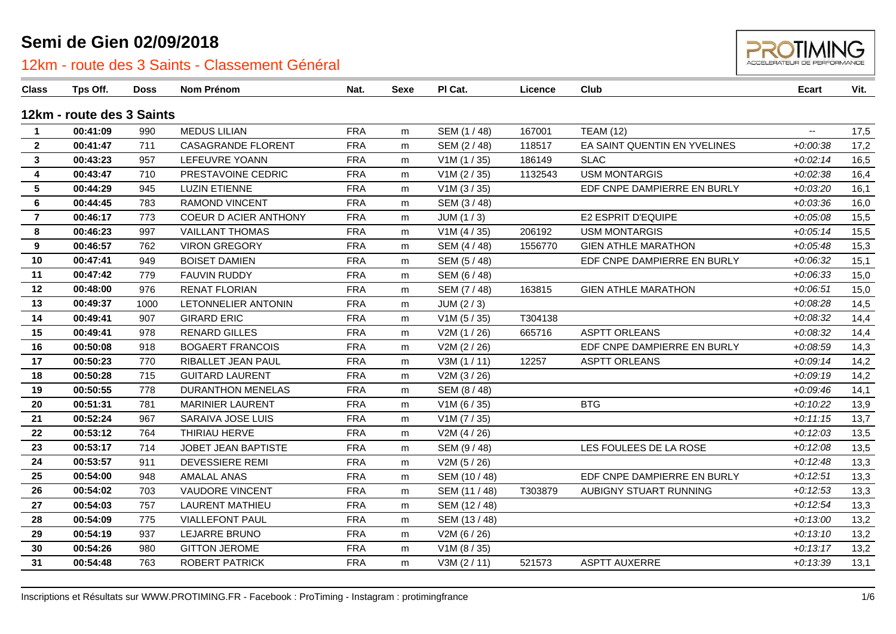

| <b>Class</b>    | Tps Off.                  | <b>Doss</b> | Nom Prénom                   | Nat.       | <b>Sexe</b> | PI Cat.       | Licence | Club                         | <b>Ecart</b> | Vit. |
|-----------------|---------------------------|-------------|------------------------------|------------|-------------|---------------|---------|------------------------------|--------------|------|
|                 | 12km - route des 3 Saints |             |                              |            |             |               |         |                              |              |      |
| $\mathbf{1}$    | 00:41:09                  | 990         | <b>MEDUS LILIAN</b>          | <b>FRA</b> | m           | SEM (1 / 48)  | 167001  | <b>TEAM (12)</b>             |              | 17,5 |
| $\overline{2}$  | 00:41:47                  | 711         | <b>CASAGRANDE FLORENT</b>    | <b>FRA</b> | m           | SEM (2/48)    | 118517  | EA SAINT QUENTIN EN YVELINES | $+0.00.38$   | 17,2 |
| 3               | 00:43:23                  | 957         | LEFEUVRE YOANN               | <b>FRA</b> | m           | V1M(1/35)     | 186149  | <b>SLAC</b>                  | $+0.02:14$   | 16,5 |
| 4               | 00:43:47                  | 710         | PRESTAVOINE CEDRIC           | <b>FRA</b> | m           | V1M (2 / 35)  | 1132543 | <b>USM MONTARGIS</b>         | $+0.02:38$   | 16,4 |
| $5\phantom{.0}$ | 00:44:29                  | 945         | <b>LUZIN ETIENNE</b>         | <b>FRA</b> | m           | V1M (3 / 35)  |         | EDF CNPE DAMPIERRE EN BURLY  | $+0.03:20$   | 16,1 |
| 6               | 00:44:45                  | 783         | <b>RAMOND VINCENT</b>        | <b>FRA</b> | m           | SEM (3/48)    |         |                              | $+0.03.36$   | 16,0 |
| $\overline{7}$  | 00:46:17                  | 773         | <b>COEUR D ACIER ANTHONY</b> | <b>FRA</b> | m           | JUM(1/3)      |         | E2 ESPRIT D'EQUIPE           | $+0.05.08$   | 15,5 |
| 8               | 00:46:23                  | 997         | <b>VAILLANT THOMAS</b>       | <b>FRA</b> | m           | V1M(4/35)     | 206192  | <b>USM MONTARGIS</b>         | $+0.05:14$   | 15,5 |
| 9               | 00:46:57                  | 762         | <b>VIRON GREGORY</b>         | <b>FRA</b> | m           | SEM (4/48)    | 1556770 | <b>GIEN ATHLE MARATHON</b>   | $+0.05:48$   | 15,3 |
| 10              | 00:47:41                  | 949         | <b>BOISET DAMIEN</b>         | <b>FRA</b> | m           | SEM (5 / 48)  |         | EDF CNPE DAMPIERRE EN BURLY  | $+0.06:32$   | 15,1 |
| 11              | 00:47:42                  | 779         | <b>FAUVIN RUDDY</b>          | <b>FRA</b> | m           | SEM (6 / 48)  |         |                              | $+0.06:33$   | 15,0 |
| 12              | 00:48:00                  | 976         | <b>RENAT FLORIAN</b>         | <b>FRA</b> | m           | SEM (7/48)    | 163815  | <b>GIEN ATHLE MARATHON</b>   | $+0.06:51$   | 15,0 |
| 13              | 00:49:37                  | 1000        | LETONNELIER ANTONIN          | <b>FRA</b> | m           | JUM (2 / 3)   |         |                              | $+0.08:28$   | 14,5 |
| 14              | 00:49:41                  | 907         | <b>GIRARD ERIC</b>           | <b>FRA</b> | m           | V1M(5/35)     | T304138 |                              | $+0.08:32$   | 14,4 |
| 15              | 00:49:41                  | 978         | <b>RENARD GILLES</b>         | <b>FRA</b> | m           | V2M (1 / 26)  | 665716  | <b>ASPTT ORLEANS</b>         | $+0.08:32$   | 14,4 |
| 16              | 00:50:08                  | 918         | <b>BOGAERT FRANCOIS</b>      | <b>FRA</b> | m           | V2M (2 / 26)  |         | EDF CNPE DAMPIERRE EN BURLY  | $+0.08:59$   | 14,3 |
| 17              | 00:50:23                  | 770         | RIBALLET JEAN PAUL           | <b>FRA</b> | m           | V3M(1/11)     | 12257   | <b>ASPTT ORLEANS</b>         | $+0.09:14$   | 14,2 |
| 18              | 00:50:28                  | 715         | <b>GUITARD LAURENT</b>       | <b>FRA</b> | m           | V2M (3/26)    |         |                              | $+0.09:19$   | 14,2 |
| 19              | 00:50:55                  | 778         | <b>DURANTHON MENELAS</b>     | <b>FRA</b> | m           | SEM (8 / 48)  |         |                              | $+0.09:46$   | 14,1 |
| 20              | 00:51:31                  | 781         | <b>MARINIER LAURENT</b>      | <b>FRA</b> | m           | V1M (6 / 35)  |         | <b>BTG</b>                   | $+0.10:22$   | 13,9 |
| 21              | 00:52:24                  | 967         | SARAIVA JOSE LUIS            | <b>FRA</b> | m           | V1M (7 / 35)  |         |                              | $+0:11:15$   | 13,7 |
| 22              | 00:53:12                  | 764         | THIRIAU HERVE                | <b>FRA</b> | m           | V2M(4/26)     |         |                              | $+0:12:03$   | 13,5 |
| 23              | 00:53:17                  | 714         | JOBET JEAN BAPTISTE          | <b>FRA</b> | m           | SEM (9/48)    |         | LES FOULEES DE LA ROSE       | $+0:12:08$   | 13,5 |
| 24              | 00:53:57                  | 911         | <b>DEVESSIERE REMI</b>       | <b>FRA</b> | m           | V2M (5 / 26)  |         |                              | $+0:12:48$   | 13,3 |
| 25              | 00:54:00                  | 948         | <b>AMALAL ANAS</b>           | <b>FRA</b> | m           | SEM (10 / 48) |         | EDF CNPE DAMPIERRE EN BURLY  | $+0:12:51$   | 13,3 |
| 26              | 00:54:02                  | 703         | <b>VAUDORE VINCENT</b>       | <b>FRA</b> | m           | SEM (11 / 48) | T303879 | AUBIGNY STUART RUNNING       | $+0:12:53$   | 13,3 |
| 27              | 00:54:03                  | 757         | <b>LAURENT MATHIEU</b>       | <b>FRA</b> | m           | SEM (12 / 48) |         |                              | $+0:12:54$   | 13,3 |
| 28              | 00:54:09                  | 775         | <b>VIALLEFONT PAUL</b>       | <b>FRA</b> | m           | SEM (13 / 48) |         |                              | $+0.13:00$   | 13,2 |
| 29              | 00:54:19                  | 937         | LEJARRE BRUNO                | <b>FRA</b> | m           | V2M (6 / 26)  |         |                              | $+0:13:10$   | 13,2 |
| 30              | 00:54:26                  | 980         | <b>GITTON JEROME</b>         | <b>FRA</b> | m           | V1M(8/35)     |         |                              | $+0:13:17$   | 13,2 |
| 31              | 00:54:48                  | 763         | <b>ROBERT PATRICK</b>        | <b>FRA</b> | m           | V3M (2 / 11)  | 521573  | <b>ASPTT AUXERRE</b>         | $+0:13:39$   | 13,1 |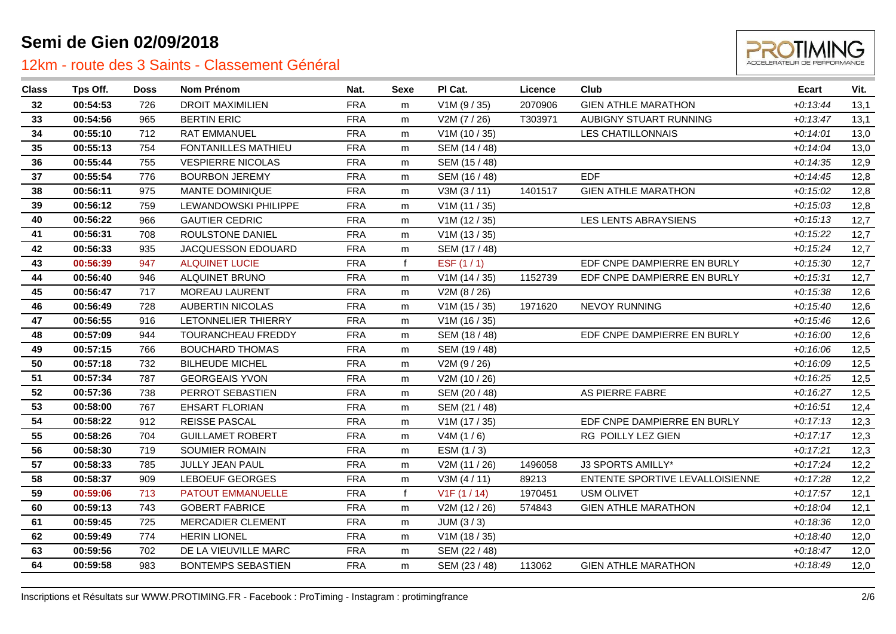

| <b>Class</b> | Tps Off. | <b>Doss</b> | Nom Prénom                | Nat.       | <b>Sexe</b> | PI Cat.       | Licence | Club                            | <b>Ecart</b> | Vit. |
|--------------|----------|-------------|---------------------------|------------|-------------|---------------|---------|---------------------------------|--------------|------|
| 32           | 00:54:53 | 726         | <b>DROIT MAXIMILIEN</b>   | <b>FRA</b> | m           | V1M(9/35)     | 2070906 | <b>GIEN ATHLE MARATHON</b>      | $+0:13:44$   | 13,1 |
| 33           | 00:54:56 | 965         | <b>BERTIN ERIC</b>        | <b>FRA</b> | m           | V2M (7 / 26)  | T303971 | AUBIGNY STUART RUNNING          | $+0:13:47$   | 13,1 |
| 34           | 00:55:10 | 712         | <b>RAT EMMANUEL</b>       | <b>FRA</b> | m           | V1M (10 / 35) |         | <b>LES CHATILLONNAIS</b>        | $+0:14:01$   | 13,0 |
| 35           | 00:55:13 | 754         | FONTANILLES MATHIEU       | <b>FRA</b> | m           | SEM (14 / 48) |         |                                 | $+0.14:04$   | 13,0 |
| 36           | 00:55:44 | 755         | <b>VESPIERRE NICOLAS</b>  | <b>FRA</b> | m           | SEM (15 / 48) |         |                                 | $+0:14:35$   | 12,9 |
| 37           | 00:55:54 | 776         | <b>BOURBON JEREMY</b>     | <b>FRA</b> | m           | SEM (16 / 48) |         | <b>FDF</b>                      | $+0:14:45$   | 12,8 |
| 38           | 00:56:11 | 975         | MANTE DOMINIQUE           | <b>FRA</b> | m           | V3M (3 / 11)  | 1401517 | <b>GIEN ATHLE MARATHON</b>      | $+0.15:02$   | 12,8 |
| 39           | 00:56:12 | 759         | LEWANDOWSKI PHILIPPE      | <b>FRA</b> | m           | V1M(11/35)    |         |                                 | $+0:15:03$   | 12,8 |
| 40           | 00:56:22 | 966         | <b>GAUTIER CEDRIC</b>     | <b>FRA</b> | m           | V1M (12 / 35) |         | LES LENTS ABRAYSIENS            | $+0:15:13$   | 12,7 |
| 41           | 00:56:31 | 708         | ROULSTONE DANIEL          | <b>FRA</b> | m           | V1M(13/35)    |         |                                 | $+0:15:22$   | 12,7 |
| 42           | 00:56:33 | 935         | JACQUESSON EDOUARD        | <b>FRA</b> | m           | SEM (17 / 48) |         |                                 | $+0:15:24$   | 12,7 |
| 43           | 00:56:39 | 947         | <b>ALQUINET LUCIE</b>     | <b>FRA</b> | f           | ESF $(1/1)$   |         | EDF CNPE DAMPIERRE EN BURLY     | $+0:15:30$   | 12,7 |
| 44           | 00:56:40 | 946         | ALQUINET BRUNO            | <b>FRA</b> | m           | V1M(14/35)    | 1152739 | EDF CNPE DAMPIERRE EN BURLY     | $+0:15:31$   | 12,7 |
| 45           | 00:56:47 | 717         | MOREAU LAURENT            | <b>FRA</b> | m           | V2M (8 / 26)  |         |                                 | $+0:15:38$   | 12,6 |
| 46           | 00:56:49 | 728         | <b>AUBERTIN NICOLAS</b>   | <b>FRA</b> | m           | V1M(15/35)    | 1971620 | NEVOY RUNNING                   | $+0.15:40$   | 12,6 |
| 47           | 00:56:55 | 916         | LETONNELIER THIERRY       | <b>FRA</b> | m           | V1M (16 / 35) |         |                                 | $+0.15:46$   | 12,6 |
| 48           | 00:57:09 | 944         | TOURANCHEAU FREDDY        | <b>FRA</b> | m           | SEM (18 / 48) |         | EDF CNPE DAMPIERRE EN BURLY     | $+0.16:00$   | 12,6 |
| 49           | 00:57:15 | 766         | <b>BOUCHARD THOMAS</b>    | <b>FRA</b> | m           | SEM (19 / 48) |         |                                 | $+0:16:06$   | 12,5 |
| 50           | 00:57:18 | 732         | <b>BILHEUDE MICHEL</b>    | <b>FRA</b> | m           | V2M (9/26)    |         |                                 | $+0.16.09$   | 12,5 |
| 51           | 00:57:34 | 787         | <b>GEORGEAIS YVON</b>     | <b>FRA</b> | m           | V2M (10 / 26) |         |                                 | $+0.16:25$   | 12,5 |
| 52           | 00:57:36 | 738         | PERROT SEBASTIEN          | <b>FRA</b> | m           | SEM (20 / 48) |         | AS PIERRE FABRE                 | $+0.16.27$   | 12,5 |
| 53           | 00:58:00 | 767         | <b>EHSART FLORIAN</b>     | <b>FRA</b> | m           | SEM (21 / 48) |         |                                 | $+0.16.51$   | 12,4 |
| 54           | 00:58:22 | 912         | <b>REISSE PASCAL</b>      | <b>FRA</b> | m           | V1M(17/35)    |         | EDF CNPE DAMPIERRE EN BURLY     | $+0:17:13$   | 12,3 |
| 55           | 00:58:26 | 704         | <b>GUILLAMET ROBERT</b>   | <b>FRA</b> | m           | V4M(1/6)      |         | RG POILLY LEZ GIEN              | $+0:17:17$   | 12,3 |
| 56           | 00:58:30 | 719         | <b>SOUMIER ROMAIN</b>     | <b>FRA</b> | m           | ESM $(1/3)$   |         |                                 | $+0:17:21$   | 12,3 |
| 57           | 00:58:33 | 785         | <b>JULLY JEAN PAUL</b>    | <b>FRA</b> | m           | V2M (11 / 26) | 1496058 | J3 SPORTS AMILLY*               | $+0:17:24$   | 12,2 |
| 58           | 00:58:37 | 909         | <b>LEBOEUF GEORGES</b>    | <b>FRA</b> | m           | V3M (4 / 11)  | 89213   | ENTENTE SPORTIVE LEVALLOISIENNE | $+0:17:28$   | 12,2 |
| 59           | 00:59:06 | 713         | <b>PATOUT EMMANUELLE</b>  | <b>FRA</b> | f           | V1F(1/14)     | 1970451 | <b>USM OLIVET</b>               | $+0:17:57$   | 12,1 |
| 60           | 00:59:13 | 743         | <b>GOBERT FABRICE</b>     | <b>FRA</b> | m           | V2M (12 / 26) | 574843  | <b>GIEN ATHLE MARATHON</b>      | $+0:18:04$   | 12,1 |
| 61           | 00:59:45 | 725         | MERCADIER CLEMENT         | <b>FRA</b> | m           | JUM(3/3)      |         |                                 | $+0.18.36$   | 12,0 |
| 62           | 00:59:49 | 774         | <b>HERIN LIONEL</b>       | <b>FRA</b> | m           | V1M (18 / 35) |         |                                 | $+0:18:40$   | 12,0 |
| 63           | 00:59:56 | 702         | DE LA VIEUVILLE MARC      | <b>FRA</b> | m           | SEM (22 / 48) |         |                                 | $+0:18:47$   | 12,0 |
| 64           | 00:59:58 | 983         | <b>BONTEMPS SEBASTIEN</b> | <b>FRA</b> | m           | SEM (23 / 48) | 113062  | <b>GIEN ATHLE MARATHON</b>      | $+0.18:49$   | 12,0 |
|              |          |             |                           |            |             |               |         |                                 |              |      |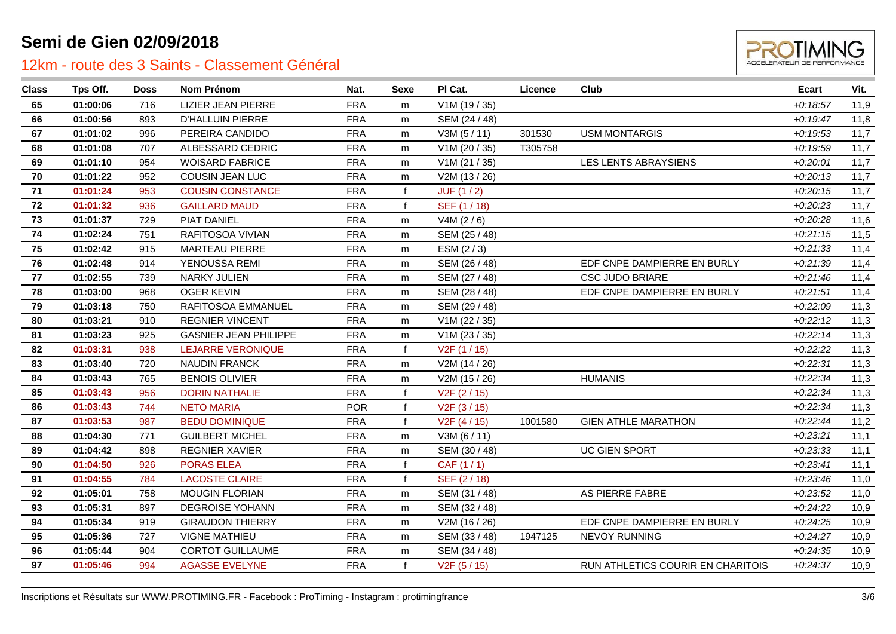

| <b>Class</b> | Tps Off. | <b>Doss</b> | Nom Prénom                   | Nat.       | Sexe         | PI Cat.                   | Licence | Club                              | <b>Ecart</b> | Vit. |
|--------------|----------|-------------|------------------------------|------------|--------------|---------------------------|---------|-----------------------------------|--------------|------|
| 65           | 01:00:06 | 716         | <b>LIZIER JEAN PIERRE</b>    | <b>FRA</b> | m            | V1M (19 / 35)             |         |                                   | $+0:18:57$   | 11,9 |
| 66           | 01:00:56 | 893         | <b>D'HALLUIN PIERRE</b>      | <b>FRA</b> | m            | SEM (24 / 48)             |         |                                   | $+0:19:47$   | 11,8 |
| 67           | 01:01:02 | 996         | PEREIRA CANDIDO              | <b>FRA</b> | m            | V3M(5/11)                 | 301530  | <b>USM MONTARGIS</b>              | $+0:19:53$   | 11,7 |
| 68           | 01:01:08 | 707         | ALBESSARD CEDRIC             | <b>FRA</b> | m            | V1M (20 / 35)             | T305758 |                                   | $+0.19.59$   | 11,7 |
| 69           | 01:01:10 | 954         | <b>WOISARD FABRICE</b>       | <b>FRA</b> | m            | V1M (21 / 35)             |         | <b>LES LENTS ABRAYSIENS</b>       | $+0.20:01$   | 11,7 |
| 70           | 01:01:22 | 952         | COUSIN JEAN LUC              | <b>FRA</b> | m            | V2M (13 / 26)             |         |                                   | $+0.20:13$   | 11,7 |
| 71           | 01:01:24 | 953         | <b>COUSIN CONSTANCE</b>      | <b>FRA</b> | f            | JUF(1/2)                  |         |                                   | $+0:20:15$   | 11,7 |
| 72           | 01:01:32 | 936         | <b>GAILLARD MAUD</b>         | <b>FRA</b> | $\mathbf{f}$ | SEF (1 / 18)              |         |                                   | $+0.20.23$   | 11,7 |
| 73           | 01:01:37 | 729         | PIAT DANIEL                  | <b>FRA</b> | m            | V4M $(2/6)$               |         |                                   | $+0.20.28$   | 11,6 |
| 74           | 01:02:24 | 751         | RAFITOSOA VIVIAN             | <b>FRA</b> | m            | SEM (25 / 48)             |         |                                   | $+0.21:15$   | 11,5 |
| 75           | 01:02:42 | 915         | MARTEAU PIERRE               | <b>FRA</b> | m            | ESM (2/3)                 |         |                                   | $+0.21.33$   | 11,4 |
| 76           | 01:02:48 | 914         | YENOUSSA REMI                | <b>FRA</b> | m            | SEM (26 / 48)             |         | EDF CNPE DAMPIERRE EN BURLY       | $+0.21.39$   | 11,4 |
| 77           | 01:02:55 | 739         | <b>NARKY JULIEN</b>          | <b>FRA</b> | m            | SEM (27 / 48)             |         | <b>CSC JUDO BRIARE</b>            | $+0.21:46$   | 11,4 |
| 78           | 01:03:00 | 968         | <b>OGER KEVIN</b>            | <b>FRA</b> | m            | SEM (28 / 48)             |         | EDF CNPE DAMPIERRE EN BURLY       | $+0.21:51$   | 11,4 |
| 79           | 01:03:18 | 750         | RAFITOSOA EMMANUEL           | <b>FRA</b> | m            | SEM (29 / 48)             |         |                                   | $+0.22:09$   | 11,3 |
| 80           | 01:03:21 | 910         | <b>REGNIER VINCENT</b>       | <b>FRA</b> | m            | V1M (22 / 35)             |         |                                   | $+0:22:12$   | 11,3 |
| 81           | 01:03:23 | 925         | <b>GASNIER JEAN PHILIPPE</b> | <b>FRA</b> | m            | V1M (23 / 35)             |         |                                   | $+0.22:14$   | 11,3 |
| 82           | 01:03:31 | 938         | <b>LEJARRE VERONIQUE</b>     | <b>FRA</b> | $\mathbf{f}$ | V <sub>2</sub> F (1 / 15) |         |                                   | $+0.22.22$   | 11,3 |
| 83           | 01:03:40 | 720         | <b>NAUDIN FRANCK</b>         | <b>FRA</b> | m            | V2M (14 / 26)             |         |                                   | $+0.22:31$   | 11,3 |
| 84           | 01:03:43 | 765         | <b>BENOIS OLIVIER</b>        | <b>FRA</b> | m            | V2M (15 / 26)             |         | <b>HUMANIS</b>                    | $+0.22:34$   | 11,3 |
| 85           | 01:03:43 | 956         | <b>DORIN NATHALIE</b>        | <b>FRA</b> |              | V <sub>2</sub> F (2 / 15) |         |                                   | $+0.22:34$   | 11,3 |
| 86           | 01:03:43 | 744         | <b>NETO MARIA</b>            | <b>POR</b> | f            | V <sub>2</sub> F (3 / 15) |         |                                   | $+0.22:34$   | 11,3 |
| 87           | 01:03:53 | 987         | <b>BEDU DOMINIQUE</b>        | <b>FRA</b> | $\mathbf f$  | V2F (4 / 15)              | 1001580 | <b>GIEN ATHLE MARATHON</b>        | $+0:22:44$   | 11,2 |
| 88           | 01:04:30 | 771         | <b>GUILBERT MICHEL</b>       | <b>FRA</b> | m            | V3M(6/11)                 |         |                                   | $+0.23.21$   | 11,1 |
| 89           | 01:04:42 | 898         | <b>REGNIER XAVIER</b>        | <b>FRA</b> | m            | SEM (30 / 48)             |         | <b>UC GIEN SPORT</b>              | $+0.23.33$   | 11,1 |
| 90           | 01:04:50 | 926         | <b>PORAS ELEA</b>            | <b>FRA</b> |              | CAF (1 / 1)               |         |                                   | $+0:23:41$   | 11,1 |
| 91           | 01:04:55 | 784         | <b>LACOSTE CLAIRE</b>        | <b>FRA</b> |              | SEF (2/18)                |         |                                   | $+0.23:46$   | 11,0 |
| 92           | 01:05:01 | 758         | <b>MOUGIN FLORIAN</b>        | <b>FRA</b> | m            | SEM (31 / 48)             |         | AS PIERRE FABRE                   | $+0.23.52$   | 11,0 |
| 93           | 01:05:31 | 897         | <b>DEGROISE YOHANN</b>       | <b>FRA</b> | m            | SEM (32 / 48)             |         |                                   | $+0.24.22$   | 10,9 |
| 94           | 01:05:34 | 919         | <b>GIRAUDON THIERRY</b>      | <b>FRA</b> | m            | V2M (16 / 26)             |         | EDF CNPE DAMPIERRE EN BURLY       | $+0.24.25$   | 10,9 |
| 95           | 01:05:36 | 727         | <b>VIGNE MATHIEU</b>         | <b>FRA</b> | m            | SEM (33 / 48)             | 1947125 | <b>NEVOY RUNNING</b>              | $+0:24:27$   | 10,9 |
| 96           | 01:05:44 | 904         | <b>CORTOT GUILLAUME</b>      | <b>FRA</b> | m            | SEM (34 / 48)             |         |                                   | $+0.24.35$   | 10,9 |
| 97           | 01:05:46 | 994         | <b>AGASSE EVELYNE</b>        | <b>FRA</b> |              | V <sub>2</sub> F (5 / 15) |         | RUN ATHLETICS COURIR EN CHARITOIS | $+0.24.37$   | 10,9 |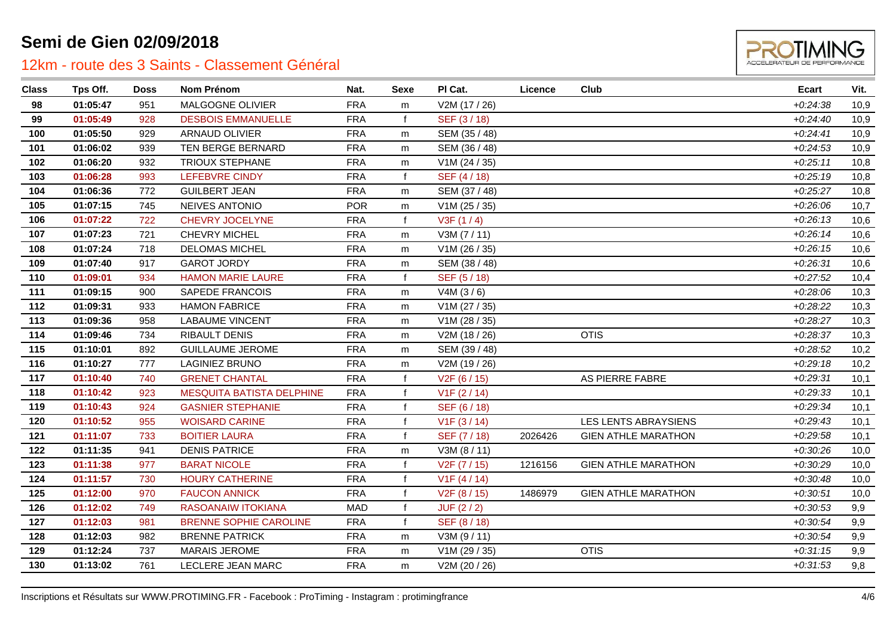

| <b>Class</b> | Tps Off. | <b>Doss</b> | <b>Nom Prénom</b>                | Nat.       | Sexe         | PI Cat.                   | Licence | Club                        | Ecart      | Vit. |
|--------------|----------|-------------|----------------------------------|------------|--------------|---------------------------|---------|-----------------------------|------------|------|
| 98           | 01:05:47 | 951         | MALGOGNE OLIVIER                 | <b>FRA</b> | m            | V2M (17 / 26)             |         |                             | $+0.24.38$ | 10,9 |
| 99           | 01:05:49 | 928         | <b>DESBOIS EMMANUELLE</b>        | <b>FRA</b> | $\mathbf{f}$ | SEF (3/18)                |         |                             | $+0.24:40$ | 10,9 |
| 100          | 01:05:50 | 929         | ARNAUD OLIVIER                   | <b>FRA</b> | m            | SEM (35 / 48)             |         |                             | $+0:24:41$ | 10,9 |
| 101          | 01:06:02 | 939         | TEN BERGE BERNARD                | <b>FRA</b> | m            | SEM (36 / 48)             |         |                             | $+0.24.53$ | 10,9 |
| 102          | 01:06:20 | 932         | <b>TRIOUX STEPHANE</b>           | <b>FRA</b> | m            | V1M (24 / 35)             |         |                             | $+0.25:11$ | 10,8 |
| 103          | 01:06:28 | 993         | <b>LEFEBVRE CINDY</b>            | <b>FRA</b> | $\mathbf{f}$ | SEF (4/18)                |         |                             | $+0.25:19$ | 10,8 |
| 104          | 01:06:36 | 772         | <b>GUILBERT JEAN</b>             | <b>FRA</b> | m            | SEM (37 / 48)             |         |                             | $+0.25.27$ | 10,8 |
| 105          | 01:07:15 | 745         | <b>NEIVES ANTONIO</b>            | <b>POR</b> | m            | $V1M$ (25 / 35)           |         |                             | $+0.26:06$ | 10,7 |
| 106          | 01:07:22 | 722         | <b>CHEVRY JOCELYNE</b>           | <b>FRA</b> | $\mathbf f$  | V3F(1/4)                  |         |                             | $+0.26:13$ | 10,6 |
| 107          | 01:07:23 | 721         | <b>CHEVRY MICHEL</b>             | <b>FRA</b> | m            | V3M (7/11)                |         |                             | $+0.26:14$ | 10,6 |
| 108          | 01:07:24 | 718         | <b>DELOMAS MICHEL</b>            | <b>FRA</b> | m            | V1M (26 / 35)             |         |                             | $+0.26:15$ | 10,6 |
| 109          | 01:07:40 | 917         | <b>GAROT JORDY</b>               | <b>FRA</b> | m            | SEM (38 / 48)             |         |                             | $+0.26:31$ | 10,6 |
| 110          | 01:09:01 | 934         | <b>HAMON MARIE LAURE</b>         | <b>FRA</b> | $\mathbf{f}$ | SEF (5/18)                |         |                             | $+0.27:52$ | 10,4 |
| 111          | 01:09:15 | 900         | SAPEDE FRANCOIS                  | <b>FRA</b> | m            | V4M (3/6)                 |         |                             | $+0.28:06$ | 10,3 |
| 112          | 01:09:31 | 933         | <b>HAMON FABRICE</b>             | <b>FRA</b> | m            | V1M (27 / 35)             |         |                             | $+0.28:22$ | 10,3 |
| 113          | 01:09:36 | 958         | <b>LABAUME VINCENT</b>           | <b>FRA</b> | m            | V1M (28 / 35)             |         |                             | $+0.28.27$ | 10,3 |
| 114          | 01:09:46 | 734         | RIBAULT DENIS                    | <b>FRA</b> | m            | V2M (18 / 26)             |         | <b>OTIS</b>                 | $+0.28.37$ | 10,3 |
| 115          | 01:10:01 | 892         | <b>GUILLAUME JEROME</b>          | <b>FRA</b> | m            | SEM (39 / 48)             |         |                             | $+0.28:52$ | 10,2 |
| 116          | 01:10:27 | 777         | <b>LAGINIEZ BRUNO</b>            | <b>FRA</b> | m            | V2M (19 / 26)             |         |                             | $+0.29:18$ | 10,2 |
| 117          | 01:10:40 | 740         | <b>GRENET CHANTAL</b>            | <b>FRA</b> | $\mathbf{f}$ | V <sub>2</sub> F (6 / 15) |         | AS PIERRE FABRE             | $+0.29:31$ | 10,1 |
| 118          | 01:10:42 | 923         | <b>MESQUITA BATISTA DELPHINE</b> | <b>FRA</b> | $\mathbf{f}$ | V1F(2/14)                 |         |                             | $+0.29.33$ | 10,1 |
| 119          | 01:10:43 | 924         | <b>GASNIER STEPHANIE</b>         | <b>FRA</b> | $\mathbf f$  | SEF (6/18)                |         |                             | $+0.29.34$ | 10,1 |
| 120          | 01:10:52 | 955         | <b>WOISARD CARINE</b>            | <b>FRA</b> | $\mathbf{f}$ | V1F(3/14)                 |         | <b>LES LENTS ABRAYSIENS</b> | $+0.29:43$ | 10,1 |
| 121          | 01:11:07 | 733         | <b>BOITIER LAURA</b>             | <b>FRA</b> | $\mathbf{f}$ | SEF (7/18)                | 2026426 | <b>GIEN ATHLE MARATHON</b>  | $+0.29.58$ | 10,1 |
| 122          | 01:11:35 | 941         | <b>DENIS PATRICE</b>             | <b>FRA</b> | m            | V3M (8 / 11)              |         |                             | $+0.30.26$ | 10,0 |
| 123          | 01:11:38 | 977         | <b>BARAT NICOLE</b>              | <b>FRA</b> | $\mathbf f$  | V2F (7 / 15)              | 1216156 | <b>GIEN ATHLE MARATHON</b>  | $+0.30:29$ | 10,0 |
| 124          | 01:11:57 | 730         | <b>HOURY CATHERINE</b>           | <b>FRA</b> | $\mathbf{f}$ | V1F(4/14)                 |         |                             | $+0.30:48$ | 10,0 |
| 125          | 01:12:00 | 970         | <b>FAUCON ANNICK</b>             | <b>FRA</b> | $\mathbf{f}$ | V <sub>2</sub> F (8 / 15) | 1486979 | <b>GIEN ATHLE MARATHON</b>  | $+0:30:51$ | 10,0 |
| 126          | 01:12:02 | 749         | RASOANAIW ITOKIANA               | <b>MAD</b> | $\mathbf f$  | JUF(2/2)                  |         |                             | $+0.30.53$ | 9,9  |
| 127          | 01:12:03 | 981         | <b>BRENNE SOPHIE CAROLINE</b>    | <b>FRA</b> | $\mathbf{f}$ | SEF (8 / 18)              |         |                             | $+0.30:54$ | 9,9  |
| 128          | 01:12:03 | 982         | <b>BRENNE PATRICK</b>            | <b>FRA</b> | m            | V3M (9/11)                |         |                             | $+0.30.54$ | 9,9  |
| 129          | 01:12:24 | 737         | <b>MARAIS JEROME</b>             | <b>FRA</b> | m            | V1M (29 / 35)             |         | <b>OTIS</b>                 | $+0:31:15$ | 9,9  |
| 130          | 01:13:02 | 761         | LECLERE JEAN MARC                | <b>FRA</b> | m            | V2M (20 / 26)             |         |                             | $+0.31.53$ | 9,8  |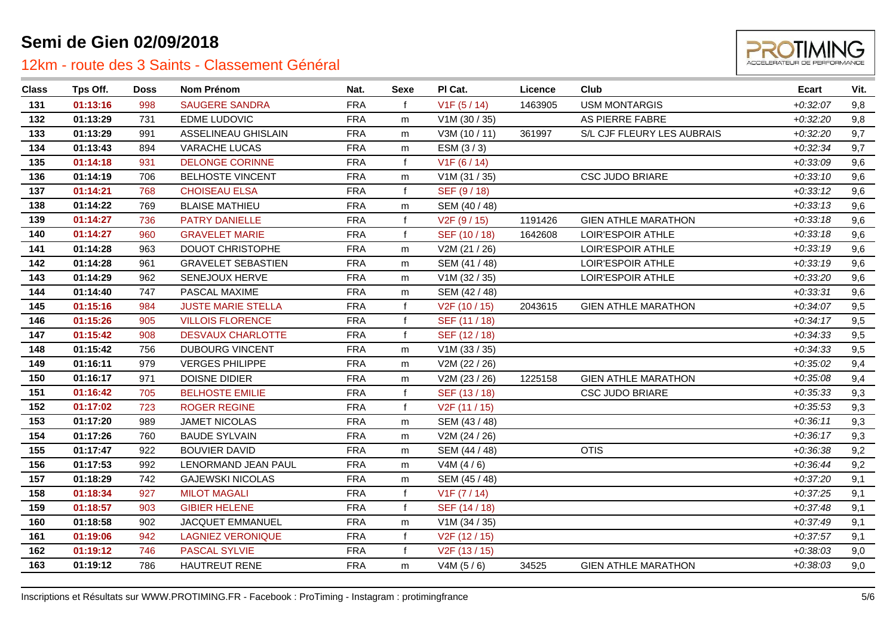

| <b>Class</b> | Tps Off. | Doss | <b>Nom Prénom</b>         | Nat.       | Sexe         | PI Cat.                    | Licence | <b>Club</b>                | <b>Ecart</b> | Vit. |
|--------------|----------|------|---------------------------|------------|--------------|----------------------------|---------|----------------------------|--------------|------|
| 131          | 01:13:16 | 998  | <b>SAUGERE SANDRA</b>     | <b>FRA</b> |              | V1F(5/14)                  | 1463905 | <b>USM MONTARGIS</b>       | $+0.32:07$   | 9,8  |
| 132          | 01:13:29 | 731  | <b>EDME LUDOVIC</b>       | <b>FRA</b> | m            | V1M (30 / 35)              |         | AS PIERRE FABRE            | $+0.32:20$   | 9,8  |
| 133          | 01:13:29 | 991  | ASSELINEAU GHISLAIN       | <b>FRA</b> | m            | V3M (10 / 11)              | 361997  | S/L CJF FLEURY LES AUBRAIS | $+0.32:20$   | 9,7  |
| 134          | 01:13:43 | 894  | VARACHE LUCAS             | <b>FRA</b> | m            | ESM (3/3)                  |         |                            | $+0.32.34$   | 9,7  |
| 135          | 01:14:18 | 931  | <b>DELONGE CORINNE</b>    | <b>FRA</b> | $\mathbf{f}$ | V1F(6/14)                  |         |                            | $+0.33.09$   | 9,6  |
| 136          | 01:14:19 | 706  | <b>BELHOSTE VINCENT</b>   | <b>FRA</b> | m            | V1M (31 / 35)              |         | <b>CSC JUDO BRIARE</b>     | $+0:33:10$   | 9,6  |
| 137          | 01:14:21 | 768  | <b>CHOISEAU ELSA</b>      | <b>FRA</b> | $\mathbf f$  | SEF (9/18)                 |         |                            | $+0:33:12$   | 9,6  |
| 138          | 01:14:22 | 769  | <b>BLAISE MATHIEU</b>     | <b>FRA</b> | m            | SEM (40 / 48)              |         |                            | $+0:33:13$   | 9,6  |
| 139          | 01:14:27 | 736  | PATRY DANIELLE            | <b>FRA</b> |              | V <sub>2</sub> F (9 / 15)  | 1191426 | <b>GIEN ATHLE MARATHON</b> | $+0.33:18$   | 9,6  |
| 140          | 01:14:27 | 960  | <b>GRAVELET MARIE</b>     | <b>FRA</b> |              | SEF (10 / 18)              | 1642608 | LOIR'ESPOIR ATHLE          | $+0.33:18$   | 9,6  |
| 141          | 01:14:28 | 963  | <b>DOUOT CHRISTOPHE</b>   | <b>FRA</b> | m            | V2M (21 / 26)              |         | LOIR'ESPOIR ATHLE          | $+0:33:19$   | 9,6  |
| 142          | 01:14:28 | 961  | <b>GRAVELET SEBASTIEN</b> | <b>FRA</b> | m            | SEM (41 / 48)              |         | LOIR'ESPOIR ATHLE          | $+0.33:19$   | 9,6  |
| 143          | 01:14:29 | 962  | SENEJOUX HERVE            | <b>FRA</b> | m            | V1M (32 / 35)              |         | LOIR'ESPOIR ATHLE          | $+0.33:20$   | 9,6  |
| 144          | 01:14:40 | 747  | PASCAL MAXIME             | <b>FRA</b> | m            | SEM (42 / 48)              |         |                            | $+0.33.31$   | 9,6  |
| 145          | 01:15:16 | 984  | <b>JUSTE MARIE STELLA</b> | <b>FRA</b> |              | V <sub>2</sub> F (10 / 15) | 2043615 | <b>GIEN ATHLE MARATHON</b> | $+0.34:07$   | 9,5  |
| 146          | 01:15:26 | 905  | <b>VILLOIS FLORENCE</b>   | <b>FRA</b> |              | SEF (11 / 18)              |         |                            | $+0.34:17$   | 9,5  |
| 147          | 01:15:42 | 908  | <b>DESVAUX CHARLOTTE</b>  | <b>FRA</b> | $\mathbf{f}$ | SEF (12/18)                |         |                            | $+0.34.33$   | 9,5  |
| 148          | 01:15:42 | 756  | <b>DUBOURG VINCENT</b>    | <b>FRA</b> | m            | V1M (33 / 35)              |         |                            | $+0.34.33$   | 9,5  |
| 149          | 01:16:11 | 979  | <b>VERGES PHILIPPE</b>    | <b>FRA</b> | m            | V2M (22 / 26)              |         |                            | $+0.35:02$   | 9,4  |
| 150          | 01:16:17 | 971  | DOISNE DIDIER             | <b>FRA</b> | m            | V2M (23 / 26)              | 1225158 | <b>GIEN ATHLE MARATHON</b> | $+0.35.08$   | 9,4  |
| 151          | 01:16:42 | 705  | <b>BELHOSTE EMILIE</b>    | <b>FRA</b> |              | SEF (13/18)                |         | <b>CSC JUDO BRIARE</b>     | $+0.35.33$   | 9,3  |
| 152          | 01:17:02 | 723  | <b>ROGER REGINE</b>       | <b>FRA</b> | $\mathbf{f}$ | V <sub>2</sub> F (11 / 15) |         |                            | $+0.35:53$   | 9,3  |
| 153          | 01:17:20 | 989  | <b>JAMET NICOLAS</b>      | <b>FRA</b> | m            | SEM (43 / 48)              |         |                            | $+0:36:11$   | 9,3  |
| 154          | 01:17:26 | 760  | <b>BAUDE SYLVAIN</b>      | <b>FRA</b> | m            | V2M (24 / 26)              |         |                            | $+0.36:17$   | 9,3  |
| 155          | 01:17:47 | 922  | <b>BOUVIER DAVID</b>      | <b>FRA</b> | m            | SEM (44 / 48)              |         | <b>OTIS</b>                | $+0.36.38$   | 9,2  |
| 156          | 01:17:53 | 992  | LENORMAND JEAN PAUL       | <b>FRA</b> | m            | V4M $(4/6)$                |         |                            | $+0.36:44$   | 9,2  |
| 157          | 01:18:29 | 742  | <b>GAJEWSKI NICOLAS</b>   | <b>FRA</b> | m            | SEM (45 / 48)              |         |                            | $+0:37:20$   | 9,1  |
| 158          | 01:18:34 | 927  | <b>MILOT MAGALI</b>       | <b>FRA</b> |              | V1F (7 / 14)               |         |                            | $+0.37:25$   | 9,1  |
| 159          | 01:18:57 | 903  | <b>GIBIER HELENE</b>      | <b>FRA</b> | $\mathbf{f}$ | SEF (14 / 18)              |         |                            | $+0.37:48$   | 9,1  |
| 160          | 01:18:58 | 902  | JACQUET EMMANUEL          | <b>FRA</b> | m            | V1M (34 / 35)              |         |                            | $+0.37:49$   | 9,1  |
| 161          | 01:19:06 | 942  | <b>LAGNIEZ VERONIQUE</b>  | <b>FRA</b> |              | V <sub>2</sub> F (12 / 15) |         |                            | $+0.37.57$   | 9,1  |
| 162          | 01:19:12 | 746  | <b>PASCAL SYLVIE</b>      | <b>FRA</b> | $\mathbf{f}$ | V2F (13 / 15)              |         |                            | $+0.38:03$   | 9,0  |
| 163          | 01:19:12 | 786  | HAUTREUT RENE             | <b>FRA</b> | m            | V4M (5/6)                  | 34525   | <b>GIEN ATHLE MARATHON</b> | $+0.38:03$   | 9,0  |